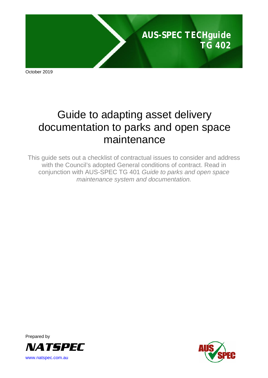

October 2019

# Guide to adapting asset delivery documentation to parks and open space maintenance

This guide sets out a checklist of contractual issues to consider and address with the Council's adopted General conditions of contract. Read in conjunction with AUS-SPEC TG 401 *Guide to parks and open space maintenance system and documentation.*



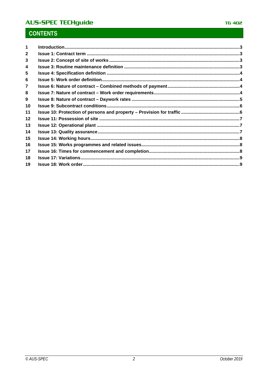# **AUS-SPEC TECHguide**

# **CONTENTS**

| 3  |  |
|----|--|
| 4  |  |
| 5  |  |
| 6  |  |
|    |  |
| 8  |  |
| 9  |  |
| 10 |  |
| 11 |  |
| 12 |  |
| 13 |  |
| 14 |  |
| 15 |  |
| 16 |  |
| 17 |  |
| 18 |  |
| 19 |  |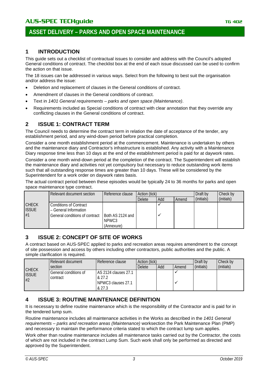# **ASSET DELIVERY – PARKS AND OPEN SPACE MAINTENANCE**

### <span id="page-2-0"></span>**1 INTRODUCTION**

This guide sets out a checklist of contractual issues to consider and address with the Council's adopted General conditions of contract. The checklist box at the end of each issue discussed can be used to confirm the action on that issue.

The 18 issues can be addressed in various ways. Select from the following to best suit the organisation and/or address the issue:

- Deletion and replacement of clauses in the General conditions of contract.
- Amendment of clauses in the General conditions of contract.
- Text in *1401 General requirements – parks and open space (Maintenance)*.
- Requirements included as Special conditions of contract with clear annotation that they override any conflicting clauses in the General conditions of contract.

# <span id="page-2-1"></span>**2 ISSUE 1: CONTRACT TERM**

The Council needs to determine the contract term in relation the date of acceptance of the tender, any establishment period, and any wind-down period before practical completion.

Consider a one month establishment period at the commencement. Maintenance is undertaken by others and the maintenance diary and Contractor's infrastructure is established. Any activity with a Maintenance Diary response time less than 10 days at the end of the establishment period is paid for at daywork rates.

Consider a one month wind-down period at the completion of the contract. The Superintendent will establish the maintenance diary and activities not yet compulsory but necessary to reduce outstanding work items such that all outstanding response times are greater than 10 days. These will be considered by the Superintendent for a work order on daywork rates basis.

The actual contract period between these episodes would be typically 24 to 36 months for parks and open space maintenance type contract.

|                              | Relevant document section                              | Reference clause                        | Action (tick) |     |       | Draft by   | Check by   |
|------------------------------|--------------------------------------------------------|-----------------------------------------|---------------|-----|-------|------------|------------|
|                              |                                                        |                                         | <b>Delete</b> | Add | Amend | (initials) | (initials) |
| <b>CHECK</b><br><b>ISSUE</b> | <b>Conditions of Contract</b><br>- General Information |                                         |               |     |       |            |            |
| #1                           | General conditions of contract                         | Both AS 2124 and<br>NPWC3<br>(Annexure) |               |     |       |            |            |

#### <span id="page-2-2"></span>**3 ISSUE 2: CONCEPT OF SITE OF WORKS**

A contract based on AUS-SPEC applied to parks and recreation areas requires amendment to the concept of site possession and access by others including other contractors, public authorities and the public. A simple clarification is required.

|                                    | Relevant document                 | Reference clause                                                      |        | Action (tick) |       |            | Check by   |
|------------------------------------|-----------------------------------|-----------------------------------------------------------------------|--------|---------------|-------|------------|------------|
|                                    | section                           |                                                                       | Delete | Add           | Amend | (initials) | (initials) |
| <b>CHECK</b><br><b>ISSUE</b><br>#2 | General conditions of<br>contract | <b>AS 2124 clauses 27.1</b><br>& 27.2<br>NPWC3 clauses 27.1<br>& 27.3 |        |               |       |            |            |

### <span id="page-2-3"></span>**4 ISSUE 3: ROUTINE MAINTENANCE DEFINITION**

It is necessary to define routine maintenance which is the responsibility of the Contractor and is paid for in the tendered lump sum.

Routine maintenance includes all maintenance activities in the Works as described in the *1401 General requirements – parks and recreation areas (Maintenance)* worksection the Park Maintenance Plan (PMP) and necessary to maintain the performance criteria stated to which the contract lump sum applies.

Work other than routine maintenance includes all maintenance tasks carried out by the Contractor, the costs of which are not included in the contract Lump Sum. Such work shall only be performed as directed and approved by the Superintendent.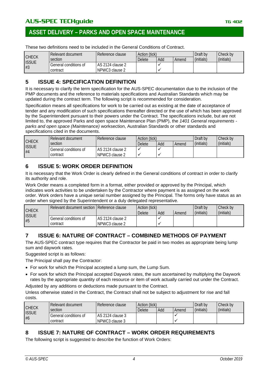# **ASSET DELIVERY – PARKS AND OPEN SPACE MAINTENANCE**

These two definitions need to be included in the General Conditions of Contract.

|                    | Relevant document     | l Reference clause | Action (tick) |     |       | Draft by   | Check by   |
|--------------------|-----------------------|--------------------|---------------|-----|-------|------------|------------|
| <b>CHECK</b>       | section               |                    | Delete        | Add | Amend | (initials) | (initials) |
| <b>ISSUE</b><br>#3 | General conditions of | LAS 2124 clause 2  |               |     |       |            |            |
|                    | contract              | NPWC3 clause 2     |               |     |       |            |            |

#### <span id="page-3-0"></span>**5 ISSUE 4: SPECIFICATION DEFINITION**

It is necessary to clarify the term specification for the AUS-SPEC documentation due to the inclusion of the PMP documents and the reference to materials specifications and Australian Standards which may be updated during the contract term. The following script is recommended for consideration.

Specification means all specifications for work to be carried out as existing at the date of acceptance of tender and any modification of such specifications thereafter directed or the use of which has been approved by the Superintendent pursuant to their powers under the Contract. The specifications include, but are not limited to, the approved Parks and open space Maintenance Plan (PMP), the *1401 General requirements parks and open space (Maintenance)* worksection, Australian Standards or other standards and specifications cited in the documents.

|                    | Relevant document     | l Reference clause | Action (tick) |     | Draft by | Check by   |            |
|--------------------|-----------------------|--------------------|---------------|-----|----------|------------|------------|
| <b>CHECK</b>       | section               |                    | Delete        | Add | Amend    | (initials) | (initials) |
| <b>ISSUE</b><br>#4 | General conditions of | LAS 2124 clause 2  |               |     |          |            |            |
|                    | contract              | I NPWC3 clause 2   |               |     |          |            |            |

#### <span id="page-3-1"></span>**6 ISSUE 5: WORK ORDER DEFINITION**

It is necessary that the Work Order is clearly defined in the General conditions of contract in order to clarify its authority and role.

Work Order means a completed form in a format, either provided or approved by the Principal, which indicates work activities to be undertaken by the Contractor where payment is as assigned on the work order. Work orders have a unique serial number assigned by the Principal. The forms only have status as an order when signed by the Superintendent or a duly delegated representative.

|                    | Relevant document section   Reference clause |                    | Action (tick) |     |       | Draft by   | Check by   |
|--------------------|----------------------------------------------|--------------------|---------------|-----|-------|------------|------------|
| <b>CHECK</b>       |                                              |                    | <b>Delete</b> | Add | Amend | (initials) | (initials) |
| <b>ISSUE</b><br>#5 | General conditions of                        | l AS 2124 clause 2 |               |     |       |            |            |
|                    | contract                                     | NPWC3 clause 2     |               |     |       |            |            |

### <span id="page-3-2"></span>**7 ISSUE 6: NATURE OF CONTRACT – COMBINED METHODS OF PAYMENT**

The AUS-SPEC contract type requires that the Contractor be paid in two modes as appropriate being lump sum and daywork rates.

Suggested script is as follows:

The Principal shall pay the Contractor:

- For work for which the Principal accepted a lump sum, the Lump Sum.
- For work for which the Principal accepted Daywork rates, the sum ascertained by multiplying the Daywork rates by the appropriate quantity of each resource or item of work actually carried out under the Contract.

Adjusted by any additions or deductions made pursuant to the Contract.

Unless otherwise stated in the Contract, the Contract shall not be subject to adjustment for rise and fall costs.

|                              | Relevant document                 | Reference clause                   | Action (tick) |     |       | Draft by   | Check by   |
|------------------------------|-----------------------------------|------------------------------------|---------------|-----|-------|------------|------------|
| <b>CHECK</b><br><b>ISSUE</b> | section                           |                                    | <b>Delete</b> | Add | Amend | (initials) | (initials) |
| #6                           | General conditions of<br>contract | AS 2124 clause 3<br>NPWC3 clause 3 |               |     |       |            |            |

### <span id="page-3-3"></span>**8 ISSUE 7: NATURE OF CONTRACT – WORK ORDER REQUIREMENTS**

The following script is suggested to describe the function of Work Orders: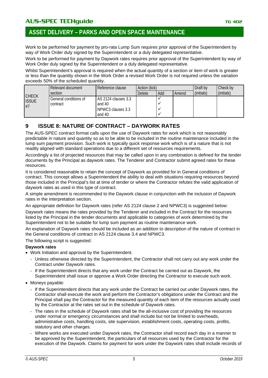Work to be performed for payment by pro-rata Lump Sum requires prior approval of the Superintendent by way of Work Order duly signed by the Superintendent or a duly delegated representative.

Work to be performed for payment by Daywork rates requires prior approval of the Superintendent by way of Work Order duly signed by the Superintendent or a duly delegated representative.

Whilst Superintendent's approval is required when the actual quantity of a section or item of work is greater or less than the quantity shown in the Work Order a revised Work Order is not required unless the variation exceeds 50% of the scheduled quantity.

|                              | Relevant document     | Reference clause    | Action (tick) |     |       | Draft by   | Check by   |
|------------------------------|-----------------------|---------------------|---------------|-----|-------|------------|------------|
|                              | section               |                     | Delete        | Add | Amend | (initials) | (initials) |
| <b>CHECK</b><br><b>ISSUE</b> | General conditions of | AS 2124 clauses 3.3 |               |     |       |            |            |
| #7                           | contract              | and 40              |               |     |       |            |            |
|                              |                       | NPWC3 clauses 3.3   |               |     |       |            |            |
|                              |                       | and 40              |               |     |       |            |            |

# <span id="page-4-0"></span>**9 ISSUE 8: NATURE OF CONTRACT – DAYWORK RATES**

The AUS-SPEC contract format calls upon the use of Daywork rates for work which is not reasonably predictable in nature and quantity so as to be able to be included in the routine maintenance included in the lump sum payment provision. Such work is typically quick response work which is of a nature that is not readily aligned with standard operations due to a different set of resources requirements.

Accordingly a list of projected resources that may be called upon in any combination is defined for the tender documents by the Principal as daywork rates. The Tenderer and Contractor submit agreed rates for these resources.

It is considered reasonable to retain the concept of Daywork as provided for in General conditions of contract. This concept allows a Superintendent the ability to deal with situations requiring resources beyond those included in the Principal's list at time of tender or where the Contractor refutes the valid application of daywork rates as used in this type of contract.

A simple amendment is recommended to the Daywork clause in conjunction with the inclusion of Daywork rates in the interpretation section.

An appropriate definition for Daywork rates (refer AS 2124 clause 2 and NPWC3) is suggested below:

Daywork rates means the rates provided by the Tenderer and included in the Contract for the resources listed by the Principal in the tender documents and applicable to categories of work determined by the Superintendent not to be suitable for lump sum payment as routine maintenance work.

An explanation of Daywork rates should be included as an addition to description of the nature of contract in the General conditions of contract in AS 2124 clause 3.4 and NPWC3.

The following script is suggested:

#### **Daywork rates**

- Work Initiation and approval by the Superintendent.
	- Unless otherwise directed by the Superintendent, the Contractor shall not carry out any work under the Contract under Daywork rates.
	- If the Superintendent directs that any work under the Contract be carried out as Daywork, the Superintendent shall issue or approve a Work Order directing the Contractor to execute such work.
- Moneys payable:
	- If the Superintendent directs that any work under the Contract be carried out under Daywork rates, the Contractor shall execute the work and perform the Contractor's obligations under the Contract and the Principal shall pay the Contractor for the measured quantity of each item of the resources actually used by the Contractor at the rates set out in the schedule of Daywork rates.
	- The rates in the schedule of Daywork rates shall be the all-inclusive cost of providing the resources under normal or emergency circumstances and shall include but not be limited to overheads, administrative costs, handling costs, site supervision, establishment costs, operating costs, profits, statutory and other charges.
	- Where works are executed under Daywork rates, the Contractor shall record each day in a manner to be approved by the Superintendent, the particulars of all resources used by the Contractor for the execution of the Daywork. Claims for payment for work under the Daywork rates shall include records of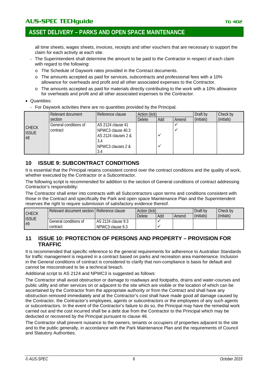# **ASSET DELIVERY – PARKS AND OPEN SPACE MAINTENANCE**

all time sheets, wages sheets, invoices, receipts and other vouchers that are necessary to support the claim for each activity at each site.

- The Superintendent shall determine the amount to be paid to the Contractor in respect of each claim with regard to the following:
	- o The Schedule of Daywork rates provided in the Contract documents.
	- o The amounts accepted as paid for services, subcontracts and professional fees with a 10% allowance for overheads and profit and all other associated expenses to the Contractor.
	- o The amounts accepted as paid for materials directly contributing to the work with a 10% allowance for overheads and profit and all other associated expenses to the Contractor.
- Quantities:
	- For Daywork activities there are no quantities provided by the Principal.

|                              | Relevant document     | Action (tick)       |        |     | Draft by | Check by   |            |
|------------------------------|-----------------------|---------------------|--------|-----|----------|------------|------------|
|                              | section               |                     | Delete | Add | Amend    | (initials) | (initials) |
|                              | General conditions of | AS 2124 clause 41   |        |     |          |            |            |
| <b>CHECK</b><br><b>ISSUE</b> | contract              | NPWC3 clause 40.3   |        |     |          |            |            |
| #8                           |                       | AS 2124 clauses 2 & |        |     |          |            |            |
|                              |                       | 3.4                 |        |     |          |            |            |
|                              |                       | NPWC3 clauses 2 &   |        |     |          |            |            |
|                              |                       | 3.4                 |        |     |          |            |            |

#### <span id="page-5-0"></span>**10 ISSUE 9: SUBCONTRACT CONDITIONS**

It is essential that the Principal retains consistent control over the contract conditions and the quality of work, whether executed by the Contractor or a Subcontractor.

The following script is recommended for addition to the section of General conditions of contract addressing Contractor's responsibility:

The Contractor shall enter into contracts with all Subcontractors upon terms and conditions consistent with those in the Contract and specifically the Park and open space Maintenance Plan and the Superintendent reserves the right to require submission of satisfactory evidence thereof.

|                              | Relevant document section   Reference clause |                      |               | Action (tick)<br>Draft by |       |            | Check bv   |
|------------------------------|----------------------------------------------|----------------------|---------------|---------------------------|-------|------------|------------|
| <b>CHECK</b><br><b>ISSUE</b> |                                              |                      | <b>Delete</b> | Add                       | Amend | (initials) | (initials) |
| #9                           | General conditions of                        | l AS 2124 clause 9.3 |               |                           |       |            |            |
|                              | contract                                     | NPWC3 clause 9.3     |               |                           |       |            |            |

#### <span id="page-5-1"></span>**11 ISSUE 10: PROTECTION OF PERSONS AND PROPERTY – PROVISION FOR TRAFFIC**

It is recommended that specific reference to the general requirements for adherence to Australian Standards for traffic management is required in a contract based on parks and recreation area maintenance. Inclusion in the General conditions of contract is considered to clarify that non-compliance is basis for default and cannot be misconstrued to be a technical breach.

Additional script to AS 2124 and NPWC3 is suggested as follows:

The Contractor shall avoid obstruction or damage to roadways and footpaths, drains and water-courses and public utility and other services on or adjacent to the site which are visible or the location of which can be ascertained by the Contractor from the appropriate authority or from the Contract and shall have any obstruction removed immediately and at the Contractor's cost shall have made good all damage caused by the Contractor, the Contractor's employees, agents or subcontractors or the employees of any such agents or subcontractors. In the event of the Contractor's failure to do so, the Principal may have the remedial work carried out and the cost incurred shall be a debt due from the Contractor to the Principal which may be deducted or recovered by the Principal pursuant to clause 46.

The Contractor shall prevent nuisance to the owners, tenants or occupiers of properties adjacent to the site and to the public generally, in accordance with the Park Maintenance Plan and the requirements of Council and Statutory Authorities.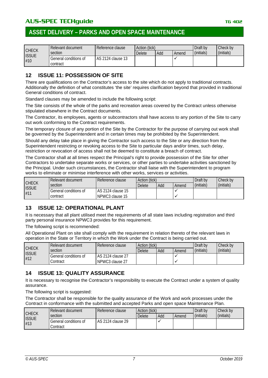# **ASSET DELIVERY – PARKS AND OPEN SPACE MAINTENANCE**

|                              | Relevant document                 | Reference clause    | Action (tick) |     |       | Draft by   | Check by   |
|------------------------------|-----------------------------------|---------------------|---------------|-----|-------|------------|------------|
| <b>CHECK</b><br><b>ISSUE</b> | section                           |                     | Delete        | Add | Amend | (initials) | (initials) |
| #10                          | General conditions of<br>contract | l AS 2124 clause 13 |               |     |       |            |            |

#### <span id="page-6-0"></span>**12 ISSUE 11: POSSESSION OF SITE**

There are qualifications on the Contractor's access to the site which do not apply to traditional contracts. Additionally the definition of what constitutes 'the site' requires clarification beyond that provided in traditional General conditions of contract.

Standard clauses may be amended to include the following script:

The Site consists of the whole of the parks and recreation areas covered by the Contract unless otherwise stipulated elsewhere in the Contract documents.

The Contractor, its employees, agents or subcontractors shall have access to any portion of the Site to carry out work conforming to the Contract requirements.

The temporary closure of any portion of the Site by the Contractor for the purpose of carrying out work shall be governed by the Superintendent and in certain times may be prohibited by the Superintendent.

Should any delay take place in giving the Contractor such access to the Site or any direction from the Superintendent restricting or revoking access to the Site to particular days and/or times, such delay, restriction or revocation of access shall not be deemed to constitute a breach of contract.

The Contractor shall at all times respect the Principal's right to provide possession of the Site for other Contractors to undertake separate works or services, or other parties to undertake activities sanctioned by the Principal. Under such circumstances, the Contractor shall liaise with the Superintendent to program works to eliminate or minimise interference with other works, services or activities.

| <b>CHECK</b>        | Relevant document<br>section      | Reference clause                     | Action (tick)<br>Add<br><b>Delete</b><br>Amend |  |  | Draft by<br>(initials) | Check by<br>(initials) |
|---------------------|-----------------------------------|--------------------------------------|------------------------------------------------|--|--|------------------------|------------------------|
| <b>ISSUE</b><br>#11 | General conditions of<br>contract | AS 2124 clause 15<br>NPWC3 clause 15 |                                                |  |  |                        |                        |

### <span id="page-6-1"></span>**13 ISSUE 12: OPERATIONAL PLANT**

It is necessary that all plant utilised meet the requirements of all state laws including registration and third party personal insurance NPWC3 provides for this requirement.

The following script is recommended:

All Operational Plant on site shall comply with the requirement in relation thereto of the relevant laws in operation in the State or Territory in which the Work under the Contract is being carried out.

|                              | Relevant document     | Reference clause  | Action (tick) |     |       | Draft by   | Check by   |
|------------------------------|-----------------------|-------------------|---------------|-----|-------|------------|------------|
| <b>CHECK</b><br><b>ISSUE</b> | section               |                   | <b>Delete</b> | Add | Amend | (initials) | (initials) |
| #12                          | General conditions of | AS 2124 clause 27 |               |     |       |            |            |
|                              | Contract              | NPWC3 clause 27   |               |     |       |            |            |

### <span id="page-6-2"></span>**14 ISSUE 13: QUALITY ASSURANCE**

It is necessary to recognise the Contractor's responsibility to execute the Contract under a system of quality assurance.

The following script is suggested:

The Contractor shall be responsible for the quality assurance of the Work and work processes under the Contract in conformance with the submitted and accepted Parks and open space Maintenance Plan.

| <b>CHECK</b><br><b>ISSUE</b> | Relevant document                 | Reference clause  | Action (tick) |     |       | Draft by   | Check by   |
|------------------------------|-----------------------------------|-------------------|---------------|-----|-------|------------|------------|
|                              | section                           |                   | <b>Delete</b> | Add | Amend | (initials) | (initials) |
| #13                          | General conditions of<br>Contract | AS 2124 clause 29 |               |     |       |            |            |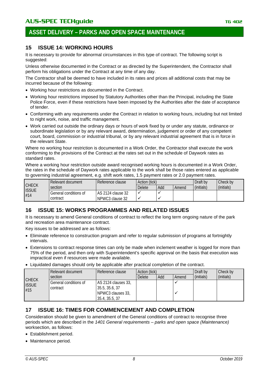# **ASSET DELIVERY – PARKS AND OPEN SPACE MAINTENANCE**

#### <span id="page-7-0"></span>**15 ISSUE 14: WORKING HOURS**

It is necessary to provide for abnormal circumstances in this type of contract. The following script is suggested:

Unless otherwise documented in the Contract or as directed by the Superintendent, the Contractor shall perform his obligations under the Contract at any time of any day.

The Contractor shall be deemed to have included in its rates and prices all additional costs that may be incurred because of the following:

- Working hour restrictions as documented in the Contract.
- Working hour restrictions imposed by Statutory Authorities other than the Principal, including the State Police Force, even if these restrictions have been imposed by the Authorities after the date of acceptance of tender.
- Conforming with any requirements under the Contract in relation to working hours, including but not limited to night work, noise, and traffic management.
- Work carried out outside the ordinary days or hours of work fixed by or under any statute, ordinance or subordinate legislation or by any relevant award, determination, judgement or order of any competent court, board, commission or industrial tribunal, or by any relevant industrial agreement that is in force in the relevant State.

Where no working hour restriction is documented in a Work Order, the Contractor shall execute the work conforming to the provisions of the Contract at the rates set out in the schedule of Daywork rates as standard rates.

Where a working hour restriction outside award recognised working hours is documented in a Work Order, the rates in the schedule of Daywork rates applicable to the work shall be those rates entered as applicable to governing industrial agreement, e.g. shift work rates, 1.5 payment rates or 2.0 payment rates.

|                                     | Relevant document     | Reference clause  | Action (tick) |     |       | Draft by   | Check by   |
|-------------------------------------|-----------------------|-------------------|---------------|-----|-------|------------|------------|
| <b>CHECK</b><br><b>ISSUE</b><br>#14 | section               |                   | Delete        | Add | Amend | (initials) | (initials) |
|                                     | General conditions of | AS 2124 clause 32 |               |     |       |            |            |
|                                     | contract              | NPWC3 clause 32   |               |     |       |            |            |

### <span id="page-7-1"></span>**16 ISSUE 15: WORKS PROGRAMMES AND RELATED ISSUES**

It is necessary to amend General conditions of contract to reflect the long term ongoing nature of the park and recreation area maintenance contract.

Key issues to be addressed are as follows:

- Eliminate reference to construction program and refer to regular submission of programs at fortnightly intervals.
- Extensions to contract response times can only be made when inclement weather is logged for more than 75% of the period, and then only with Superintendent's specific approval on the basis that execution was impractical even if resources were made available.
- Liquidated damages should only be applicable after practical completion of the contract.

|                                     | Relevant document                 | Reference clause                                                              | Action (tick) |     |       | Draft by   | Check by   |
|-------------------------------------|-----------------------------------|-------------------------------------------------------------------------------|---------------|-----|-------|------------|------------|
|                                     | section                           |                                                                               | Delete        | Add | Amend | (initials) | (initials) |
| <b>CHECK</b><br><b>ISSUE</b><br>#15 | General conditions of<br>contract | LAS 2124 clauses 33.<br>35.5, 35.6, 37<br>NPWC3 clauses 33,<br>35.4, 35.5, 37 |               |     |       |            |            |

#### <span id="page-7-2"></span>**17 ISSUE 16: TIMES FOR COMMENCEMENT AND COMPLETION**

Consideration should be given to amendment of the General conditions of contract to recognise three periods which are described in the *1401 General requirements – parks and open space (Maintenance)* worksection, as follows:

- Establishment period.
- Maintenance period.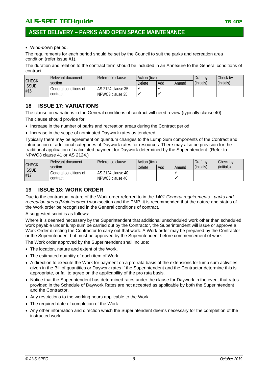# **ASSET DELIVERY – PARKS AND OPEN SPACE MAINTENANCE**

• Wind-down period.

The requirements for each period should be set by the Council to suit the parks and recreation area condition (refer Issue #1).

The duration and relation to the contract term should be included in an Annexure to the General conditions of contract.

| <b>CHECK</b><br><b>ISSUE</b><br>#16 | Relevant document     | Reference clause   | Action (tick) |       |            | Draft by   | Check by |
|-------------------------------------|-----------------------|--------------------|---------------|-------|------------|------------|----------|
|                                     | section               | Delete             | Add           | Amend | (initials) | (initials) |          |
|                                     | General conditions of | LAS 2124 clause 35 |               |       |            |            |          |
|                                     | contract              | NPWC3 clause 35    |               |       |            |            |          |

#### <span id="page-8-0"></span>**18 ISSUE 17: VARIATIONS**

The clause on variations in the General conditions of contract will need review (typically clause 40). The clause should provide for:

- Increase in the number of parks and recreation areas during the Contract period.
- Increase in the scope of nominated Daywork rates as tendered.

Typically there may be agreement on quantum changes to the Lump Sum components of the Contract and introduction of additional categories of Daywork rates for resources. There may also be provision for the traditional application of calculated payment for Daywork determined by the Superintendent. (Refer to NPWC3 clause 41 or AS 2124.)

| <b>CHECK</b><br><b>ISSUE</b><br>#17 | Relevant document     | Reference clause  | Action (tick) |       |            | Draft by   | Check by |
|-------------------------------------|-----------------------|-------------------|---------------|-------|------------|------------|----------|
|                                     | section               | Delete            | Add           | Amend | (initials) | (initials) |          |
|                                     | General conditions of | AS 2124 clause 40 |               |       |            |            |          |
|                                     | contract              | NPWC3 clause 40   |               |       |            |            |          |

# <span id="page-8-1"></span>**19 ISSUE 18: WORK ORDER**

Due to the contractual nature of the Work order referred to in the *1401 General requirements - parks and recreation areas (Maintenance)* worksection and the PMP, it is recommended that the nature and status of the Work order be recognised in the General conditions of contract.

A suggested script is as follows:

Where it is deemed necessary by the Superintendent that additional unscheduled work other than scheduled work payable under lump sum be carried out by the Contractor, the Superintendent will issue or approve a Work Order directing the Contractor to carry out that work. A Work order may be prepared by the Contractor or the Superintendent but must be approved by the Superintendent before commencement of work.

The Work order approved by the Superintendent shall include:

- The location, nature and extent of the Work.
- The estimated quantity of each item of Work.
- A direction to execute the Work for payment on a pro rata basis of the extensions for lump sum activities given in the Bill of quantities or Daywork rates if the Superintendent and the Contractor determine this is appropriate, or fail to agree on the applicability of the pro rata basis.
- Notice that the Superintendent has determined rates under the clause for Daywork in the event that rates provided in the Schedule of Daywork Rates are not accepted as applicable by both the Superintendent and the Contractor.
- Any restrictions to the working hours applicable to the Work.
- The required date of completion of the Work.
- Any other information and direction which the Superintendent deems necessary for the completion of the instructed work.